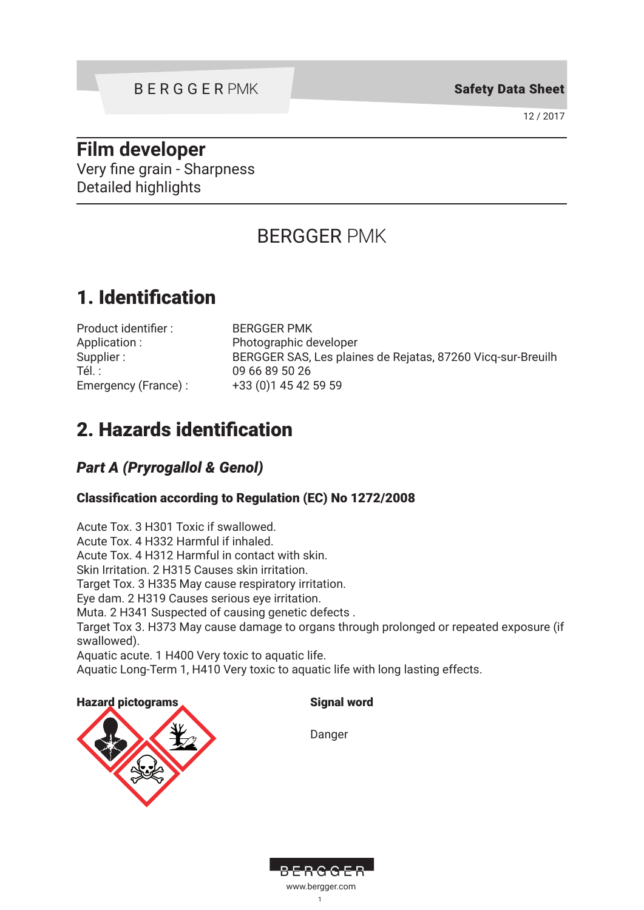Safety Data Sheet

12 / 2017

# **Film developer**

Very fine grain - Sharpness Detailed highlights

# BERGGER PMK

# 1. Identification

| Product identifier: |
|---------------------|
| Application:        |
| Supplier:           |
| Tél. :              |
| Emergency (France): |

**BERGGER PMK** Photographic developer BERGGER SAS, Les plaines de Rejatas, 87260 Vicq-sur-Breuilh 09 66 89 50 26 +33 (0)1 45 42 59 59

# 2. Hazards identification

# *Part A (Pryrogallol & Genol)*

### Classification according to Regulation (EC) No 1272/2008

Acute Tox. 3 H301 Toxic if swallowed. Acute Tox. 4 H332 Harmful if inhaled. Acute Tox. 4 H312 Harmful in contact with skin. Skin Irritation. 2 H315 Causes skin irritation. Target Tox. 3 H335 May cause respiratory irritation. Eye dam. 2 H319 Causes serious eye irritation. Muta. 2 H341 Suspected of causing genetic defects . Target Tox 3. H373 May cause damage to organs through prolonged or repeated exposure (if swallowed). Aquatic acute. 1 H400 Very toxic to aquatic life. Aquatic Long-Term 1, H410 Very toxic to aquatic life with long lasting effects.

Hazard pictograms strategies and signal word



Danger



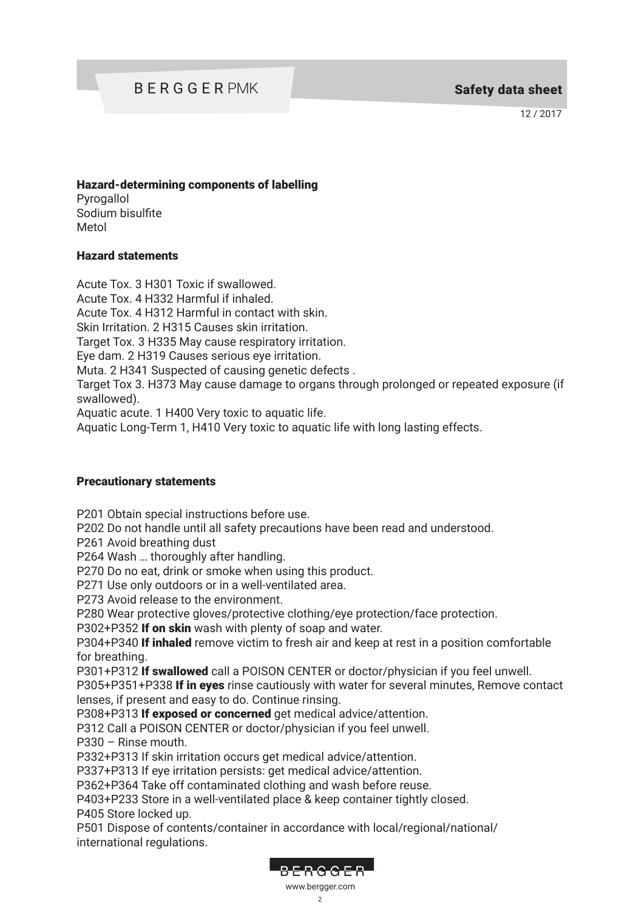# BERGGER PMK Safety data sheet

12 / 2017

#### Hazard-determining components of labelling

Pyrogallol Sodium bisulfite Metol

#### Hazard statements

Acute Tox. 3 H301 Toxic if swallowed. Acute Tox. 4 H332 Harmful if inhaled.

Acute Tox. 4 H312 Harmful in contact with skin.

Skin Irritation. 2 H315 Causes skin irritation.

Target Tox. 3 H335 May cause respiratory irritation.

Eye dam. 2 H319 Causes serious eye irritation.

Muta. 2 H341 Suspected of causing genetic defects .

Target Tox 3. H373 May cause damage to organs through prolonged or repeated exposure (if swallowed).

Aquatic acute. 1 H400 Very toxic to aquatic life.

Aquatic Long-Term 1, H410 Very toxic to aquatic life with long lasting effects.

#### Precautionary statements

P201 Obtain special instructions before use.

P202 Do not handle until all safety precautions have been read and understood.

P261 Avoid breathing dust

P264 Wash … thoroughly after handling.

P270 Do no eat, drink or smoke when using this product.

P271 Use only outdoors or in a well-ventilated area.

P273 Avoid release to the environment.

P280 Wear protective gloves/protective clothing/eye protection/face protection.

P302+P352 If on skin wash with plenty of soap and water.

P304+P340 If inhaled remove victim to fresh air and keep at rest in a position comfortable for breathing.

P301+P312 If swallowed call a POISON CENTER or doctor/physician if you feel unwell.

P305+P351+P338 If in eyes rinse cautiously with water for several minutes, Remove contact lenses, if present and easy to do. Continue rinsing.

P308+P313 If exposed or concerned get medical advice/attention.

P312 Call a POISON CENTER or doctor/physician if you feel unwell. P330 – Rinse mouth.

P332+P313 If skin irritation occurs get medical advice/attention.

P337+P313 If eye irritation persists: get medical advice/attention.

P362+P364 Take off contaminated clothing and wash before reuse.

P403+P233 Store in a well-ventilated place & keep container tightly closed. P405 Store locked up.

P501 Dispose of contents/container in accordance with local/regional/national/ international regulations.



#### $\mathcal{D}$ www.bergger.com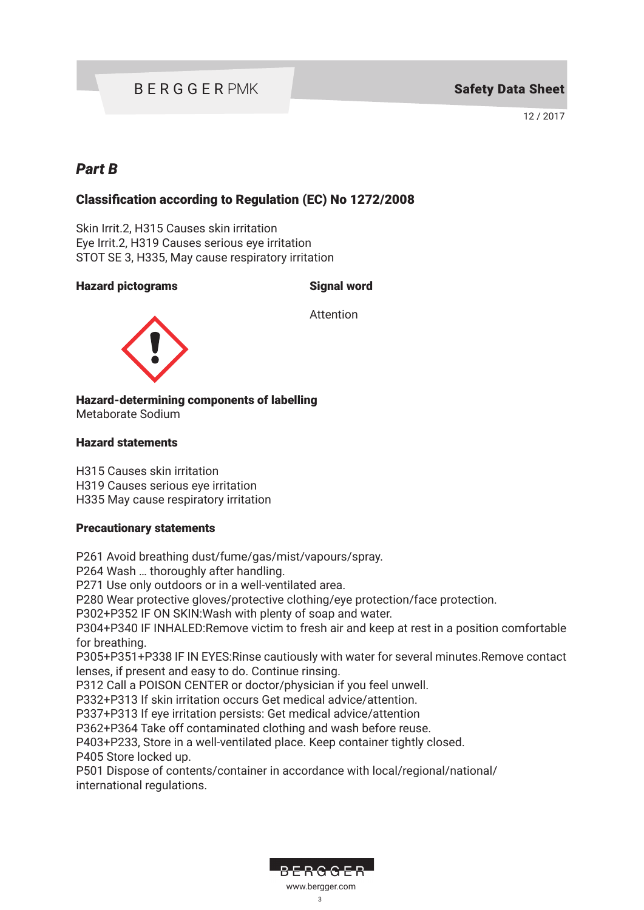# BERGGER PMK

12 / 2017

### *Part B*

### Classification according to Regulation (EC) No 1272/2008

Skin Irrit.2, H315 Causes skin irritation Eye Irrit.2, H319 Causes serious eye irritation STOT SE 3, H335, May cause respiratory irritation

#### Hazard pictograms Signal word

Attention



Hazard-determining components of labelling Metaborate Sodium

#### Hazard statements

H315 Causes skin irritation H319 Causes serious eye irritation H335 May cause respiratory irritation

#### Precautionary statements

P261 Avoid breathing dust/fume/gas/mist/vapours/spray.

P264 Wash … thoroughly after handling.

P271 Use only outdoors or in a well-ventilated area.

P280 Wear protective gloves/protective clothing/eye protection/face protection.

P302+P352 IF ON SKIN:Wash with plenty of soap and water.

P304+P340 IF INHALED:Remove victim to fresh air and keep at rest in a position comfortable for breathing.

P305+P351+P338 IF IN EYES:Rinse cautiously with water for several minutes.Remove contact lenses, if present and easy to do. Continue rinsing.

P312 Call a POISON CENTER or doctor/physician if you feel unwell.

P332+P313 If skin irritation occurs Get medical advice/attention.

P337+P313 If eye irritation persists: Get medical advice/attention

P362+P364 Take off contaminated clothing and wash before reuse.

P403+P233, Store in a well-ventilated place. Keep container tightly closed.

P405 Store locked up.

P501 Dispose of contents/container in accordance with local/regional/national/ international regulations.

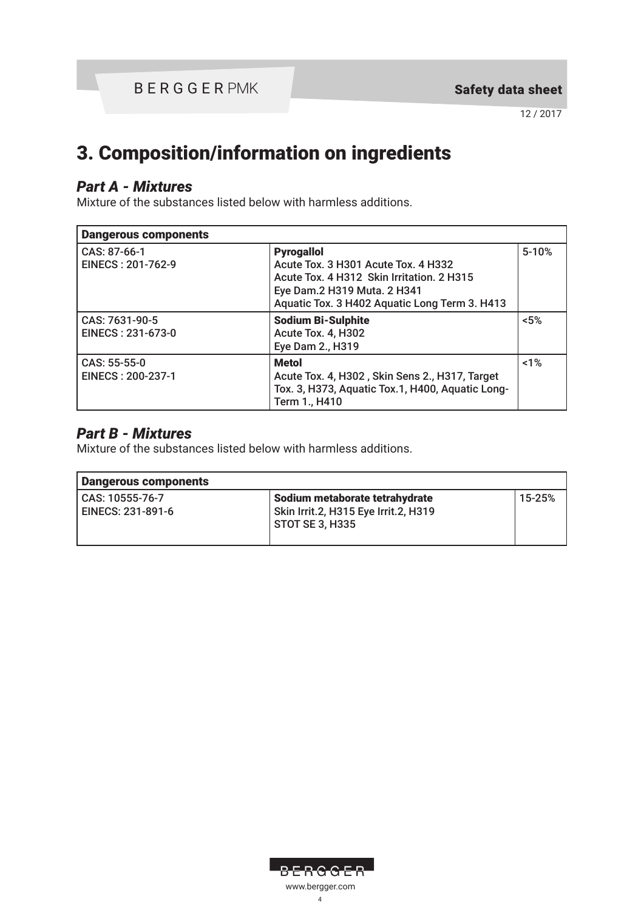# 3. Composition/information on ingredients

### *Part A - Mixtures*

Mixture of the substances listed below with harmless additions.

| <b>Dangerous components</b>         |                                                                                                                                                                                       |           |
|-------------------------------------|---------------------------------------------------------------------------------------------------------------------------------------------------------------------------------------|-----------|
| CAS: 87-66-1<br>EINECS: 201-762-9   | <b>Pyrogallol</b><br>Acute Tox. 3 H301 Acute Tox. 4 H332<br>Acute Tox. 4 H312 Skin Irritation. 2 H315<br>Eye Dam.2 H319 Muta. 2 H341<br>Aquatic Tox. 3 H402 Aquatic Long Term 3. H413 | $5 - 10%$ |
| CAS: 7631-90-5<br>EINECS: 231-673-0 | <b>Sodium Bi-Sulphite</b><br>Acute Tox. 4, H302<br>Eye Dam 2., H319                                                                                                                   | $< 5\%$   |
| CAS: 55-55-0<br>EINECS: 200-237-1   | <b>Metol</b><br>Acute Tox. 4, H302, Skin Sens 2., H317, Target<br>Tox. 3, H373, Aquatic Tox.1, H400, Aquatic Long-<br>Term 1., H410                                                   | 1%        |

### *Part B - Mixtures*

Mixture of the substances listed below with harmless additions.

| Dangerous components                 |                                                                                             |        |
|--------------------------------------|---------------------------------------------------------------------------------------------|--------|
| CAS: 10555-76-7<br>EINECS: 231-891-6 | Sodium metaborate tetrahydrate<br>Skin Irrit.2, H315 Eye Irrit.2, H319<br>  STOT SE 3, H335 | 15-25% |

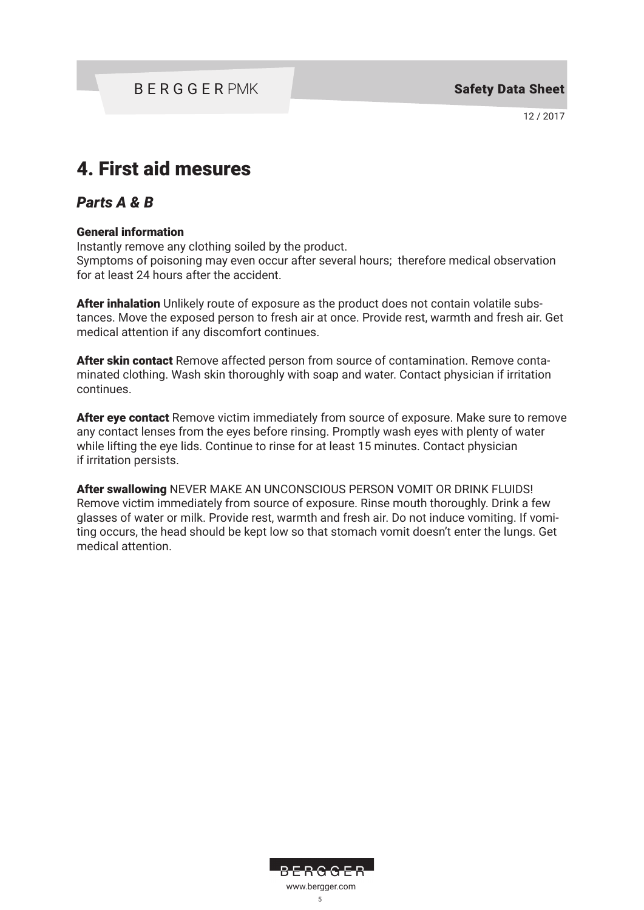# 4. First aid mesures

### *Parts A & B*

### General information

Instantly remove any clothing soiled by the product.

Symptoms of poisoning may even occur after several hours; therefore medical observation for at least 24 hours after the accident.

After inhalation Unlikely route of exposure as the product does not contain volatile substances. Move the exposed person to fresh air at once. Provide rest, warmth and fresh air. Get medical attention if any discomfort continues.

After skin contact Remove affected person from source of contamination. Remove contaminated clothing. Wash skin thoroughly with soap and water. Contact physician if irritation continues.

After eye contact Remove victim immediately from source of exposure. Make sure to remove any contact lenses from the eyes before rinsing. Promptly wash eyes with plenty of water while lifting the eye lids. Continue to rinse for at least 15 minutes. Contact physician if irritation persists.

After swallowing NEVER MAKE AN UNCONSCIOUS PERSON VOMIT OR DRINK FLUIDS! Remove victim immediately from source of exposure. Rinse mouth thoroughly. Drink a few glasses of water or milk. Provide rest, warmth and fresh air. Do not induce vomiting. If vomiting occurs, the head should be kept low so that stomach vomit doesn't enter the lungs. Get medical attention.

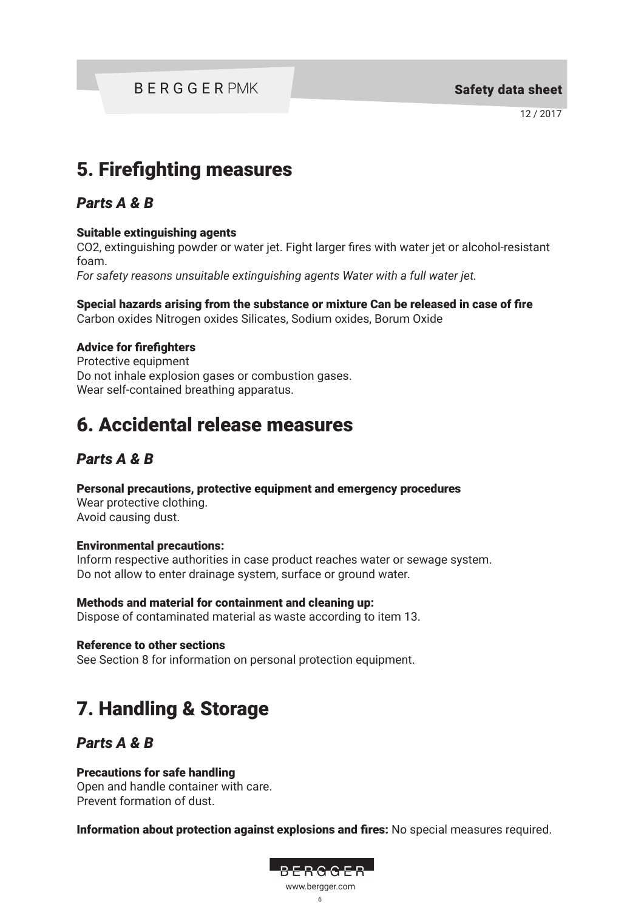BERGGER PMK Safety data sheet

12 / 2017

# 5. Firefighting measures

### *Parts A & B*

### Suitable extinguishing agents

CO2, extinguishing powder or water jet. Fight larger fires with water jet or alcohol-resistant foam.

*For safety reasons unsuitable extinguishing agents Water with a full water jet.*

Special hazards arising from the substance or mixture Can be released in case of fire Carbon oxides Nitrogen oxides Silicates, Sodium oxides, Borum Oxide

### Advice for firefighters

Protective equipment Do not inhale explosion gases or combustion gases. Wear self-contained breathing apparatus.

# 6. Accidental release measures

### *Parts A & B*

Personal precautions, protective equipment and emergency procedures

Wear protective clothing. Avoid causing dust.

### Environmental precautions:

Inform respective authorities in case product reaches water or sewage system. Do not allow to enter drainage system, surface or ground water.

# Methods and material for containment and cleaning up:

Dispose of contaminated material as waste according to item 13.

Reference to other sections

See Section 8 for information on personal protection equipment.

# 7. Handling & Storage

### *Parts A & B*

### Precautions for safe handling

Open and handle container with care. Prevent formation of dust.

Information about protection against explosions and fires: No special measures required.

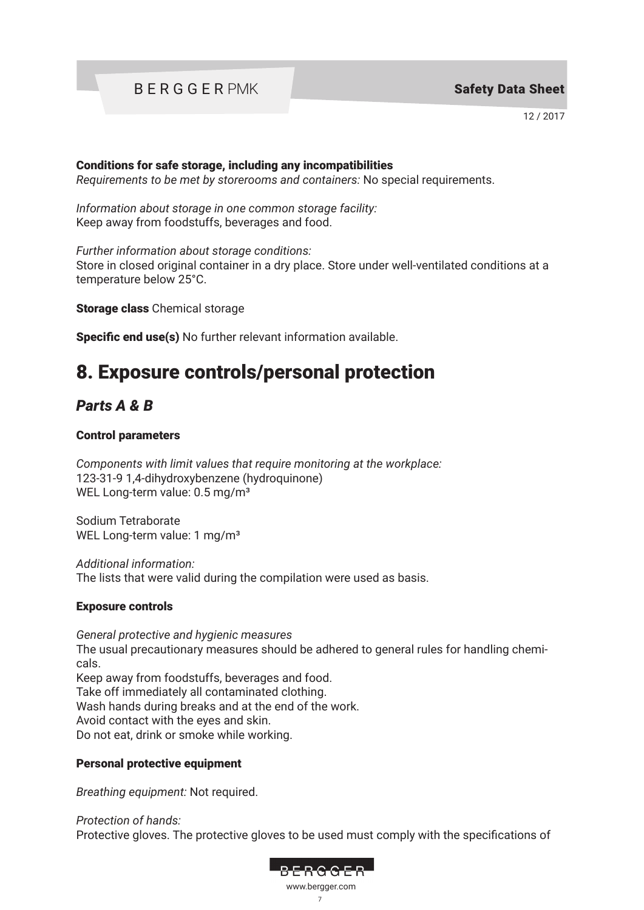# BERGGER PMK

12 / 2017

#### Conditions for safe storage, including any incompatibilities

*Requirements to be met by storerooms and containers:* No special requirements.

*Information about storage in one common storage facility:* Keep away from foodstuffs, beverages and food.

*Further information about storage conditions:*

Store in closed original container in a dry place. Store under well-ventilated conditions at a temperature below 25°C.

Storage class Chemical storage

Specific end use(s) No further relevant information available.

# 8. Exposure controls/personal protection

## *Parts A & B*

### Control parameters

*Components with limit values that require monitoring at the workplace:* 123-31-9 1,4-dihydroxybenzene (hydroquinone) WEL Long-term value: 0.5 mg/m<sup>3</sup>

Sodium Tetraborate WEL Long-term value: 1 mg/m<sup>3</sup>

*Additional information:*  The lists that were valid during the compilation were used as basis.

### Exposure controls

*General protective and hygienic measures* The usual precautionary measures should be adhered to general rules for handling chemicals. Keep away from foodstuffs, beverages and food. Take off immediately all contaminated clothing. Wash hands during breaks and at the end of the work. Avoid contact with the eyes and skin. Do not eat, drink or smoke while working.

### Personal protective equipment

*Breathing equipment:* Not required.

*Protection of hands:* Protective gloves. The protective gloves to be used must comply with the specifications of

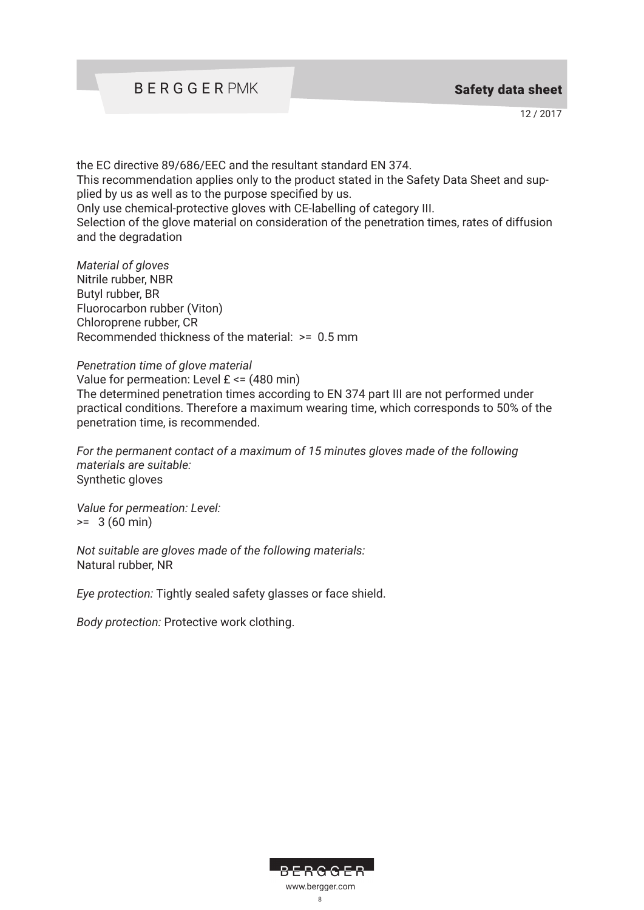the EC directive 89/686/EEC and the resultant standard EN 374. This recommendation applies only to the product stated in the Safety Data Sheet and supplied by us as well as to the purpose specified by us. Only use chemical-protective gloves with CE-labelling of category III. Selection of the glove material on consideration of the penetration times, rates of diffusion and the degradation

*Material of gloves* Nitrile rubber, NBR Butyl rubber, BR Fluorocarbon rubber (Viton) Chloroprene rubber, CR Recommended thickness of the material: >= 0.5 mm

#### *Penetration time of glove material*

Value for permeation: Level  $E \le (480 \text{ min})$ The determined penetration times according to EN 374 part III are not performed under practical conditions. Therefore a maximum wearing time, which corresponds to 50% of the penetration time, is recommended.

*For the permanent contact of a maximum of 15 minutes gloves made of the following materials are suitable:* Synthetic gloves

*Value for permeation: Level:*  $>= 3 (60 min)$ 

*Not suitable are gloves made of the following materials:*  Natural rubber, NR

*Eye protection:* Tightly sealed safety glasses or face shield.

*Body protection:* Protective work clothing.

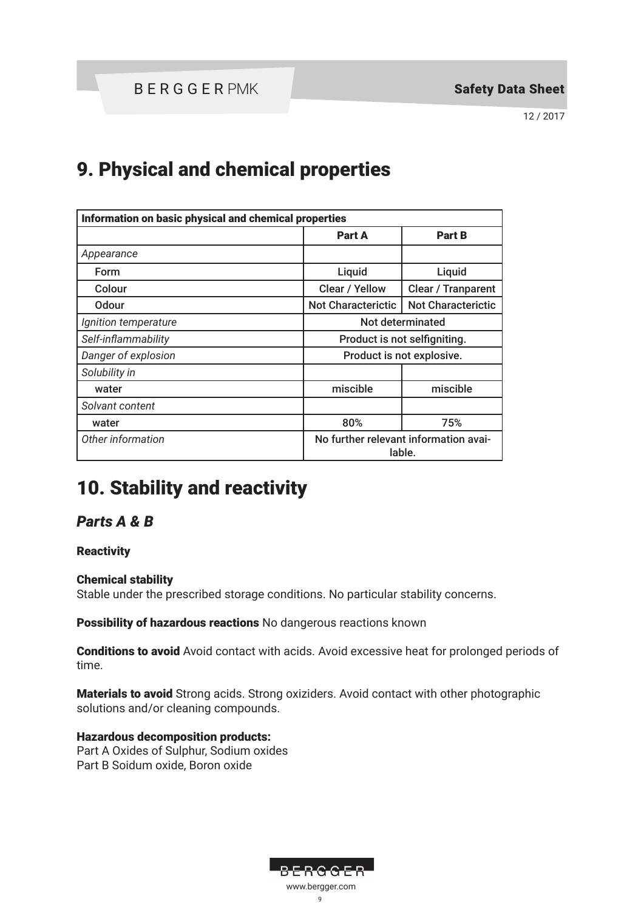# 9. Physical and chemical properties

| Information on basic physical and chemical properties |                                                 |                           |
|-------------------------------------------------------|-------------------------------------------------|---------------------------|
|                                                       | Part A                                          | <b>Part B</b>             |
| Appearance                                            |                                                 |                           |
| <b>Form</b>                                           | Liquid                                          | Liquid                    |
| Colour                                                | Clear / Yellow                                  | Clear / Tranparent        |
| <b>Odour</b>                                          | <b>Not Characterictic</b>                       | <b>Not Characterictic</b> |
| Ignition temperature                                  | Not determinated                                |                           |
| Self-inflammability                                   | Product is not selfigniting.                    |                           |
| Danger of explosion                                   | Product is not explosive.                       |                           |
| Solubility in                                         |                                                 |                           |
| water                                                 | miscible                                        | miscible                  |
| Solvant content                                       |                                                 |                           |
| water                                                 | 80%                                             | 75%                       |
| Other information                                     | No further relevant information avai-<br>lable. |                           |

# 10. Stability and reactivity

### *Parts A & B*

### **Reactivity**

### Chemical stability

Stable under the prescribed storage conditions. No particular stability concerns.

Possibility of hazardous reactions No dangerous reactions known

Conditions to avoid Avoid contact with acids. Avoid excessive heat for prolonged periods of time.

Materials to avoid Strong acids. Strong oxiziders. Avoid contact with other photographic solutions and/or cleaning compounds.

#### Hazardous decomposition products: Part A Oxides of Sulphur, Sodium oxides

Part B Soidum oxide, Boron oxide

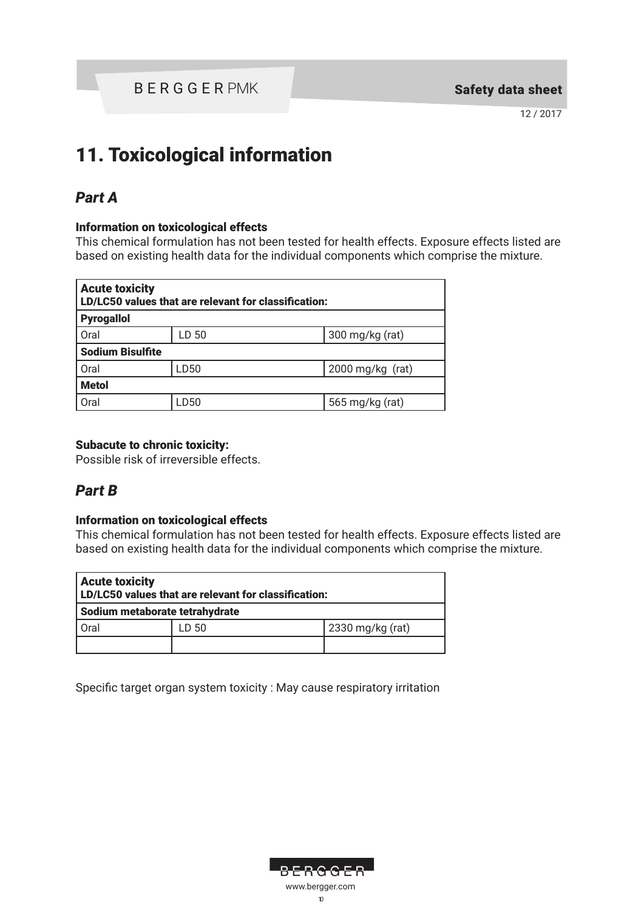# 11. Toxicological information

## *Part A*

### Information on toxicological effects

This chemical formulation has not been tested for health effects. Exposure effects listed are based on existing health data for the individual components which comprise the mixture.

| <b>Acute toxicity</b><br>LD/LC50 values that are relevant for classification: |       |                              |
|-------------------------------------------------------------------------------|-------|------------------------------|
| <b>Pyrogallol</b>                                                             |       |                              |
| Oral                                                                          | LD 50 | $300 \,\mathrm{mg/kg}$ (rat) |
| <b>Sodium Bisulfite</b>                                                       |       |                              |
| Oral                                                                          | LD50  | $2000$ mg/kg (rat)           |
| <b>Metol</b>                                                                  |       |                              |
| Oral                                                                          | LD50  | 565 mg/kg (rat)              |

### Subacute to chronic toxicity:

Possible risk of irreversible effects.

### *Part B*

### Information on toxicological effects

This chemical formulation has not been tested for health effects. Exposure effects listed are based on existing health data for the individual components which comprise the mixture.

| <b>Acute toxicity</b><br>LD/LC50 values that are relevant for classification: |       |                  |
|-------------------------------------------------------------------------------|-------|------------------|
| Sodium metaborate tetrahydrate                                                |       |                  |
| Oral                                                                          | LD 50 | 2330 mg/kg (rat) |
|                                                                               |       |                  |

Specific target organ system toxicity : May cause respiratory irritation

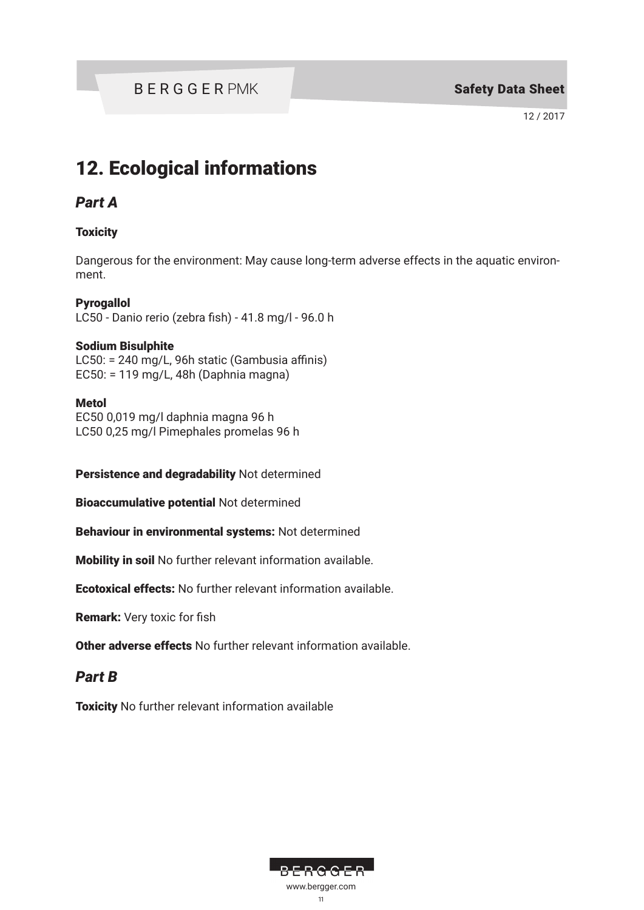# 12. Ecological informations

### *Part A*

### **Toxicity**

Dangerous for the environment: May cause long-term adverse effects in the aquatic environment.

### **Pyrogallol**

LC50 - Danio rerio (zebra fish) - 41.8 mg/l - 96.0 h

### Sodium Bisulphite

LC50: = 240 mg/L, 96h static (Gambusia affinis) EC50: = 119 mg/L, 48h (Daphnia magna)

### Metol

EC50 0,019 mg/l daphnia magna 96 h LC50 0,25 mg/l Pimephales promelas 96 h

Persistence and degradability Not determined

Bioaccumulative potential Not determined

Behaviour in environmental systems: Not determined

Mobility in soil No further relevant information available.

Ecotoxical effects: No further relevant information available.

Remark: Very toxic for fish

Other adverse effects No further relevant information available.

### *Part B*

**Toxicity** No further relevant information available

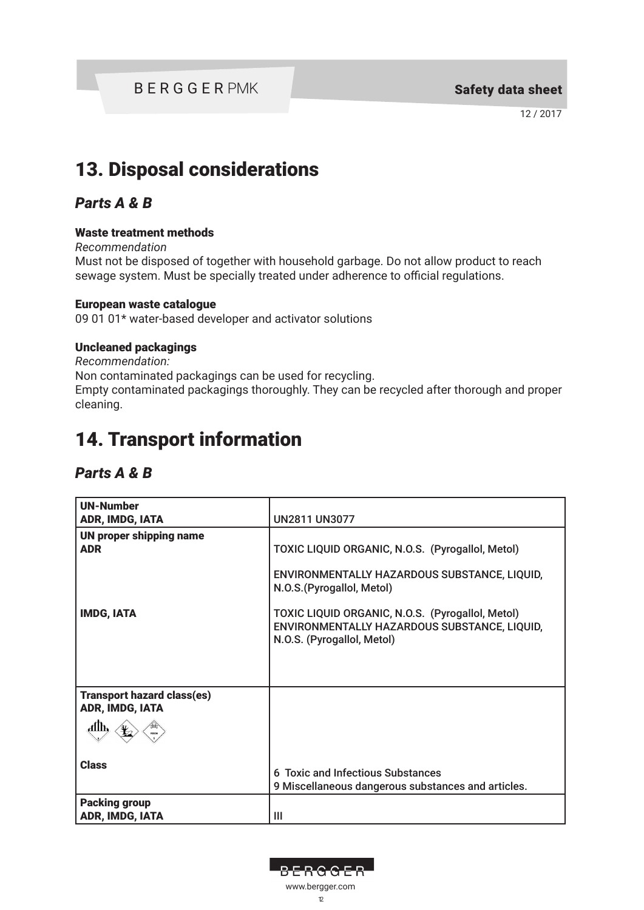### BERGGER PMK Safety data sheet

12 / 2017

# 13. Disposal considerations

### *Parts A & B*

#### Waste treatment methods

*Recommendation*

Must not be disposed of together with household garbage. Do not allow product to reach sewage system. Must be specially treated under adherence to official regulations.

#### European waste catalogue

09 01 01\* water-based developer and activator solutions

#### Uncleaned packagings

*Recommendation:* Non contaminated packagings can be used for recycling. Empty contaminated packagings thoroughly. They can be recycled after thorough and proper cleaning.

# 14. Transport information

### *Parts A & B*

| <b>UN-Number</b><br>ADR, IMDG, IATA                          | <b>UN2811 UN3077</b>                                                                                                           |
|--------------------------------------------------------------|--------------------------------------------------------------------------------------------------------------------------------|
| <b>UN proper shipping name</b><br><b>ADR</b>                 | TOXIC LIQUID ORGANIC, N.O.S. (Pyrogallol, Metol)<br>ENVIRONMENTALLY HAZARDOUS SUBSTANCE, LIQUID,<br>N.O.S. (Pyrogallol, Metol) |
| <b>IMDG, IATA</b>                                            | TOXIC LIQUID ORGANIC, N.O.S. (Pyrogallol, Metol)<br>ENVIRONMENTALLY HAZARDOUS SUBSTANCE, LIQUID,<br>N.O.S. (Pyrogallol, Metol) |
| <b>Transport hazard class(es)</b><br>ADR, IMDG, IATA<br>Allh |                                                                                                                                |
| <b>Class</b>                                                 | 6 Toxic and Infectious Substances<br>9 Miscellaneous dangerous substances and articles.                                        |
| <b>Packing group</b><br>ADR, IMDG, IATA                      | Ш                                                                                                                              |

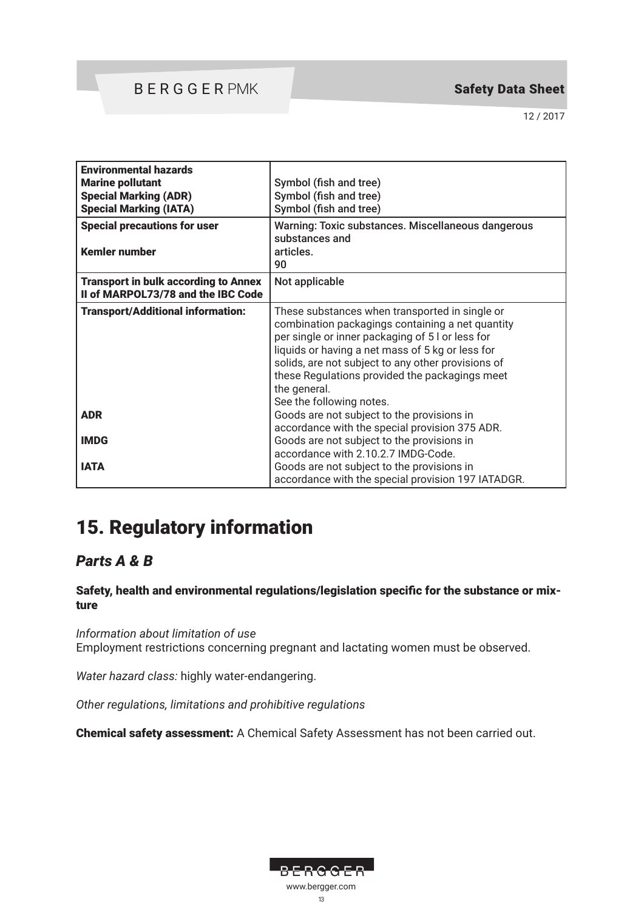### BERGGER PMK

### Safety Data Sheet

12 / 2017

| <b>Environmental hazards</b><br><b>Marine pollutant</b><br><b>Special Marking (ADR)</b><br><b>Special Marking (IATA)</b><br><b>Special precautions for user</b> | Symbol (fish and tree)<br>Symbol (fish and tree)<br>Symbol (fish and tree)<br>Warning: Toxic substances. Miscellaneous dangerous<br>substances and                                                                                                                                                                                                             |
|-----------------------------------------------------------------------------------------------------------------------------------------------------------------|----------------------------------------------------------------------------------------------------------------------------------------------------------------------------------------------------------------------------------------------------------------------------------------------------------------------------------------------------------------|
| <b>Kemler number</b>                                                                                                                                            | articles.<br>90                                                                                                                                                                                                                                                                                                                                                |
| <b>Transport in bulk according to Annex</b><br>II of MARPOL73/78 and the IBC Code                                                                               | Not applicable                                                                                                                                                                                                                                                                                                                                                 |
| <b>Transport/Additional information:</b>                                                                                                                        | These substances when transported in single or<br>combination packagings containing a net quantity<br>per single or inner packaging of 5 l or less for<br>liquids or having a net mass of 5 kg or less for<br>solids, are not subject to any other provisions of<br>these Regulations provided the packagings meet<br>the general.<br>See the following notes. |
| <b>ADR</b>                                                                                                                                                      | Goods are not subject to the provisions in<br>accordance with the special provision 375 ADR.                                                                                                                                                                                                                                                                   |
| <b>IMDG</b>                                                                                                                                                     | Goods are not subject to the provisions in<br>accordance with 2.10.2.7 IMDG-Code.                                                                                                                                                                                                                                                                              |
| <b>IATA</b>                                                                                                                                                     | Goods are not subject to the provisions in<br>accordance with the special provision 197 IATADGR.                                                                                                                                                                                                                                                               |

# 15. Regulatory information

### *Parts A & B*

Safety, health and environmental regulations/legislation specific for the substance or mixture

*Information about limitation of use* Employment restrictions concerning pregnant and lactating women must be observed.

*Water hazard class:* highly water-endangering.

*Other regulations, limitations and prohibitive regulations*

Chemical safety assessment: A Chemical Safety Assessment has not been carried out.